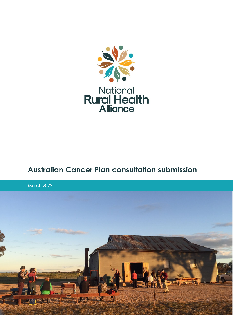

# **Australian Cancer Plan consultation submission**

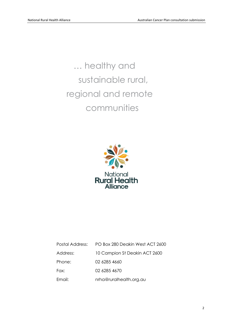… healthy and sustainable rural, regional and remote communities



| Postal Address: | PO Box 280 Deakin West ACT 2600 |
|-----------------|---------------------------------|
| Address:        | 10 Campion St Deakin ACT 2600   |
| Phone:          | 02 6285 4660                    |
| Fax:            | 02 6285 4670                    |
| Email:          | nrha@ruralhealth.org.au         |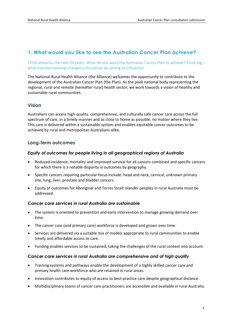# **1. What would you like to see the Australian Cancer Plan achieve?**

Think ahead to the next 10 years. What do you want the Australian Cancer Plan to achieve? Think big – what transformational change(s) should we be aiming to influence?

The National Rural Health Alliance (the Alliance) welcomes the opportunity to contribute to the development of the Australian Cancer Plan (the Plan). As the peak national body representing the regional, rural and remote (hereafter rural) health sector, we work towards a vision of healthy and sustainable rural communities.

#### **Vision**

Australians can access high-quality, comprehensive, and culturally safe cancer care across the full spectrum of care, in a timely manner and as close to home as possible, no matter where they live. This care is delivered within a sustainable system and enables equitable cancer outcomes to be achieved by rural and metropolitan Australians alike.

# **Long-term outcomes**

#### *Equity of outcomes for people living in all geographical regions of Australia*

- Reduced incidence, mortality and improved survival for all cancers combined and specific cancers for which there is a notable disparity in outcomes by geography.
- Specific cancers requiring particular focus include: head and neck, cervical, unknown primary site, lung, liver, prostate and bladder cancers.
- Equity of outcomes for Aboriginal and Torres Strait Islander peoples in rural Australia must be addressed.

#### *Cancer care services in rural Australia are sustainable*

- The system is oriented to prevention and early intervention to manage growing demand over time.
- The cancer care (and primary care) workforce is developed and grown over time.
- Services are delivered via a suitable mix of models appropriate to rural communities to enable timely and affordable access to care.
- Funding enables services to be sustained, taking the challenges of the rural context into account.

#### *Cancer care services in rural Australia are comprehensive and of high quality*

- Training systems and pathways enable the development of a highly skilled cancer care and primary health care workforce who are retained in rural areas.
- Innovation contributes to equity of access to best-practice care despite geographical distance.
- Multidisciplinary teams of cancer care practitioners are accessible and available in rural Australia.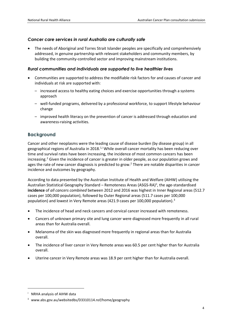#### *Cancer care services in rural Australia are culturally safe*

• The needs of Aboriginal and Torres Strait Islander peoples are specifically and comprehensively addressed, in genuine partnership with relevant stakeholders and community members, by building the community-controlled sector and improving mainstream institutions.

#### *Rural communities and individuals are supported to live healthier lives*

- Communities are supported to address the modifiable risk factors for and causes of cancer and individuals at risk are supported with:
	- increased access to healthy eating choices and exercise opportunities through a systems approach
	- well-funded programs, delivered by a professional workforce, to support lifestyle behaviour change
	- improved health literacy on the prevention of cancer is addressed through education and awareness-raising activities.

# **Background**

<span id="page-3-0"></span>Cancer and other neoplasms were the leading cause of disease burden (by disease group) in all geographical regions of Australia in 2018.<sup>[1,](#page-16-0)[i](#page-3-1)</sup> While overall cancer mortality has been reducing over time and survival rates have been increasing, the incidence of most common cancers has been increasing.<sup>[2](#page-16-1)</sup> Given the incidence of cancer is greater in older people, as our population grows and ages the rate of new cancer diagnosis is predicted to grow.<sup>2</sup> There are notable disparities in cancer incidence and outcomes by geography.

According to data presented by the Australian Institute of Health and Welfare (AIHW) utilising the Australian Statistical Geography Standard – Remoteness Areas (ASGS-RA)<sup>ii</sup>, the age-standardised **incidence** of *all cancers combined* between 2012 and 2016 was highest in Inner Regional areas (512.7 cases per 100,000 population), followed by Outer Regional areas (511.7 cases per 100,000 population) and lowest in Very Remote areas (421.9 cases per 100,000 population). [3](#page-16-2)

- <span id="page-3-3"></span>The incidence of head and neck cancers and cervical cancer increased with remoteness.
- Cancers of unknown primary site and lung cancer were diagnosed more frequently in all rural areas than for Australia overall.
- Melanoma of the skin was diagnosed more frequently in regional areas than for Australia overall.
- The incidence of liver cancer in Very Remote areas was 60.5 per cent higher than for Australia overall.
- Uterine cancer in Very Remote areas was 18.9 per cent higher than for Australia overall.

<span id="page-3-1"></span>NRHA analysis of AIHW data

<span id="page-3-2"></span>ii www.abs.gov.au/websitedbs/D3310114.nsf/home/geography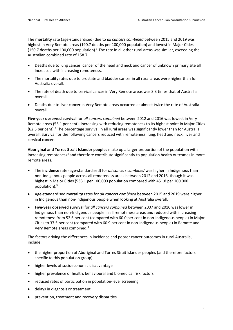The **mortality** rate (age-standardised) due to *all cancers combined* between 2015 and 2019 was highest in Very Remote areas (190.7 deaths per 100,000 population) and lowest in Major Cities (150.7 deaths per 100,000 population[\).](#page-3-3)<sup>3</sup> The rate in all other rural areas was similar, exceeding the Australian combined rate of 158.7.

- Deaths due to lung cancer, cancer of the head and neck and cancer of unknown primary site all increased with increasing remoteness.
- The mortality rates due to prostate and bladder cancer in all rural areas were higher than for Australia overall.
- The rate of death due to cervical cancer in Very Remote areas was 3.3 times that of Australia overall.
- Deaths due to liver cancer in Very Remote areas occurred at almost twice the rate of Australia overall.

**Five-year observed survival** for *all cancers combined* between 2012 and 2016 was lowest in Very Remote areas (55.1 per cent), increasing with reducing remoteness to its highest point in Major Cities (62[.](#page-3-3)5 per cent).<sup>3</sup> The percentage survival in all rural areas was significantly lower than for Australia overall. Survival for the following cancers reduced with remoteness: lung, head and neck, liver and cervical cancer.

**Aboriginal and Torres Strait Islander peoples** make up a larger proportion of the population with increasing remoteness<sup>[4](#page-16-3)</sup> and therefore contribute significantly to population health outcomes in more remote areas.

- The **incidence** rate (age-standardised) for *all cancers combined* was higher in Indigenous than non-Indigenous people across all remoteness areas between 2012 and 2016, though it was highest in Major Cities (538.1 per 100,000 population compared with 451.8 per 100,000 population[\).](#page-3-3) 3
- Age-standardised **mortality** rates for *all cancers combined* between 2015 and 2019 were higher in Indigenous than non-Indigenous people when looking at Australia overall.
- **Five-year observed survival** for *all cancers combined* between 2007 and 2016 was lower in Indigenous than non-Indigenous people in all remoteness areas and reduced with increasing remoteness from 52.6 per cent (compared with 60.0 per cent in non-Indigenous people) in Major Cities to 37.5 per cent (compared with 60.9 per cent in non-Indigenous people) in Remote and Very Remote areas combined[.3](#page-3-3)

The factors driving the differences in incidence and poorer cancer outcomes in rural Australia, include:

- the higher proportion of Aboriginal and Torres Strait Islander peoples (and therefore factors specific to this population group)
- higher levels of socioeconomic disadvantage
- higher prevalence of health, behavioural and biomedical risk factors
- reduced rates of participation in population-level screening
- delays in diagnosis or treatment
- prevention, treatment and recovery disparities.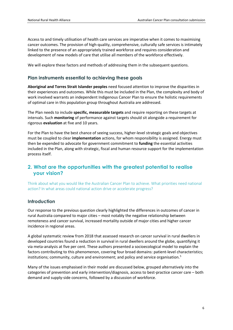Access to and timely utilisation of health care services are imperative when it comes to maximising cancer outcomes. The provision of high-quality, comprehensive, culturally safe services is intimately linked to the presence of an appropriately trained workforce and requires consideration and development of new models of care that utilise all members of the workforce effectively.

We will explore these factors and methods of addressing them in the subsequent questions.

# **Plan instruments essential to achieving these goals**

**Aboriginal and Torres Strait Islander peoples** need focused attention to improve the disparities in their experiences and outcomes. While this must be included in the Plan, the complexity and body of work involved warrants an independent Indigenous Cancer Plan to ensure the holistic requirements of optimal care in this population group throughout Australia are addressed.

The Plan needs to include **specific, measurable targets** and require reporting on these targets at intervals. Such **monitoring** of performance against targets should sit alongside a requirement for rigorous **evaluation** at five and 10 years.

For the Plan to have the best chance of seeing success, higher-level strategic goals and objectives must be coupled to clear **implementation** actions, for whom responsibility is assigned. Energy must then be expended to advocate for government commitment to **funding** the essential activities included in the Plan, along with strategic, fiscal and human resource support for the implementation process itself.

# **2. What are the opportunities with the greatest potential to realise your vision?**

Think about what you would like the Australian Cancer Plan to achieve. What priorities need national action? In what areas could national action drive or accelerate progress?

# **Introduction**

Our response to the previous question clearly highlighted the differences in outcomes of cancer in rural Australia compared to major cities – most notably the negative relationship between remoteness and cancer survival, increased mortality outside of major cities and higher cancer incidence in regional areas.

A global systematic review from 2018 that assessed research on cancer survival in rural dwellers in developed countries found a reduction in survival in rural dwellers around the globe, quantifying it via meta-analysis at five per cent. These authors presented a socioecological model to explain the factors contributing to this phenomenon, covering four broad domains: patient-level characteristics; institutions; community, culture and environment; and policy and service organisation.<sup>[5](#page-16-4)</sup>

Many of the issues emphasised in their model are discussed below, grouped alternatively into the categories of prevention and early intervention/diagnosis, access to best-practice cancer care – both demand and supply-side concerns, followed by a discussion of workforce.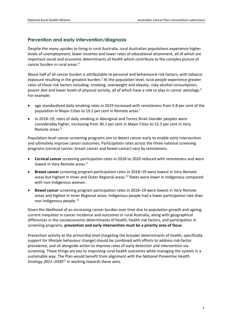# **Prevention and early intervention/diagnosis**

Despite the many upsides to living in rural Australia, rural Australian populations experience higher levels of unemployment, lower incomes and lower rates of educational attainment, all of which are important social and economic determinants of health which contribute to the complex picture of cancer burden in rural areas. [6](#page-16-5)

<span id="page-6-0"></span>About half of all cancer burden is attributable to personal and behavioural risk factors, with tobacco exposure resulting in the greatest burden.<sup>2</sup> At the population level, rural people experience greater rates of these risk factors including: smoking, overweight and obesity, risky alcohol consumption, poorer diet and lower levels of physical activity, all of which have a role to play in cancer aetiology.<sup>6</sup> For example:

- age-standardised daily smoking rates in 2019 increased with remoteness from 9.8 per cent of the population in Major Cities to 19.2 per cent in Remote areas<sup>[7](#page-16-6)</sup>
- in 2018–19, rates of daily smoking in Aboriginal and Torres Strait Islander peoples were considerably higher, increasing from 30.1 per cent in Major Cities to 52.3 per cent in Very Remote areas.<sup>[8](#page-16-7)</sup>

Population-level cancer-screening programs aim to detect cancer early to enable early intervention and ultimately improve cancer outcomes. Participation rates across the three national screening programs (cervical cancer, breast cancer and bowel cancer) vary by remoteness.

- **Cervical cancer** screening participation rates in 2018 to 2020 reduced with remoteness and were lowest in Very Remote areas.<sup>[9](#page-16-8)</sup>
- **Breast cancer** screening program participation rates in 2018–19 were lowest in Very Remote areas but highest in Inner and Outer Regional areas.<sup>[10](#page-16-9)</sup> Rates were lower in Indigenous compared with non-Indigenous women.
- **Bowel cancer** screening program participation rates in 2018–19 were lowest in Very Remote areas and highest in Inner Regional areas. Indigenous people had a lower participation rate than non-Indigenous people. [11](#page-16-10)

Given the likelihood of an increasing cancer burden over time due to population growth and ageing, current inequities in cancer incidence and outcomes in rural Australia, along with geographical differences in the socioeconomic determinants of health, health risk factors, and participation in screening programs, **prevention and early intervention must be a priority area of focus**.

Prevention activity at the primordial level (targeting the broader determinants of health, specifically support for lifestyle behaviour change) should be combined with efforts to address risk-factor prevalence, and sit alongside action to improve rates of early detection and intervention via screening. These things are key to improving rural health outcomes while managing the system in a sustainable way. The Plan would benefit from alignment with the *National Preventive Health Strategy 2021–2030*[12](#page-16-11) in working towards these aims.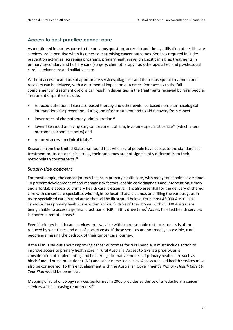# **Access to best-practice cancer care**

As mentioned in our response to the previous question, access to and timely utilisation of health care services are imperative when it comes to maximising cancer outcomes. Services required include: prevention activities, screening programs, primary health care, diagnostic imaging, treatments in primary, secondary and tertiary care (surgery, chemotherapy, radiotherapy, allied and psychosocial care), survivor care and palliative care.

Without access to and use of appropriate services, diagnosis and then subsequent treatment and recovery can be delayed, with a detrimental impact on outcomes. Poor access to the full complement of treatment options can result in disparities in the treatments received by rural people. Treatment disparities include:

- reduced utilisation of exercise-based therapy and other evidence-based non-pharmacological interventions for prevention, during and after treatment and to aid recovery from cancer
- lower rates of chemotherapy administration $13$
- <span id="page-7-0"></span>lower likelihood of having surgical treatment at a high-volume specialist centre<sup>[14](#page-16-13)</sup> (which alters outcomes for some cancers) and
- <span id="page-7-1"></span>reduced access to clinical trials.<sup>[15](#page-16-14)</sup>

Research from the United States has found that when rural people have access to the standardised treatment protocols of clinical trials, their outcomes are not significantly different from their metropolitan counterparts.[16](#page-16-15)

#### *Supply-side concerns*

For most people, the cancer journey begins in primary health care, with many touchpoints over time. To prevent development of and manage risk factors, enable early diagnosis and intervention, timely and affordable access to primary health care is essential. It is also essential for the delivery of shared care with cancer care specialists who might be located at a distance, and filling the various gaps in more specialised care in rural areas that will be illustrated below. Yet almost 43,000 Australians cannot access primary health care within an hour's drive of their home, with 65,000 Australians being unable to access a general practitioner (GP) in this drive time.<sup>6</sup> Access to allied health services is poorer in remote areas.<sup>6</sup>

Even if primary health care services are available within a reasonable distance, access is often reduced by wait times and out-of-pocket costs. If these services are not readily accessible, rural people are missing the bedrock of their cancer care journey.

If the Plan is serious about improving cancer outcomes for rural people, it must include action to improve access to primary health care in rural Australia. Access to GPs is a priority, as is consideration of implementing and bolstering alternative models of primary health care such as block-funded nurse practitioner (NP) and other nurse-led clinics. Access to allied health services must also be considered. To this end, alignment with the Australian Government's *Primary Health Care 10 Year Plan* would be beneficial.

Mapping of rural oncology services performed in 2006 provides evidence of a reduction in cancer services with increasing remoteness.<sup>14</sup>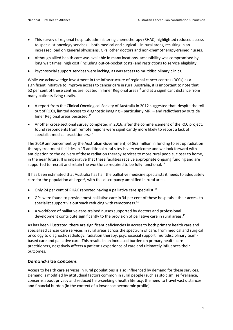- This survey of regional hospitals administering chemotherapy (RHAC) highlighted reduced access to specialist oncology services – both medical and surgical – in rural areas, resulting in an increased load on general physicians, GPs, other doctors and non-chemotherapy-trained nurses.
- Although allied health care was available in many locations, accessibility was compromised by long wait times, high cost (including out-of-pocket costs) and restrictions to service eligibility.
- Psychosocial support services were lacking, as was access to multidisciplinary clinics.

While we acknowledge investment in the infrastructure of regional cancer centres (RCCs) as a significant initiative to improve access to cancer care in rural Australia, it is important to note that 52 per cent of these centres are located in Inner Regional areas<sup>15</sup> and at a significant distance from many patients living rurally.

- A report from the Clinical Oncological Society of Australia in 2012 suggested that, despite the roll out of RCCs, limited access to diagnostic imaging – particularly MRI – and radiotherapy outside Inner Regional areas persisted[.15](#page-7-1)
- Another cross-sectional survey completed in 2016, after the commencement of the RCC project, found respondents from remote regions were significantly more likely to report a lack of specialist medical practitioners.<sup>[17](#page-16-16)</sup>

The 2019 announcement by the Australian Government, of \$63 million in funding to set up radiation therapy treatment facilities in 13 additional rural sites is very welcome and we look forward with anticipation to the delivery of these radiation therapy services to more rural people, closer to home, in the near future. It is imperative that these facilities receive appropriate ongoing funding and are supported to recruit and retain the workforce required to be fully functional.<sup>18</sup>

It has been estimated that Australia has half the palliative medicine specialists it needs to adequately care for the population at large<sup>15</sup>, with this discrepancy amplified in rural areas.

- Only 24 per cent of RHAC reported having a palliative care specialist[.14](#page-7-0)
- GPs were found to provide most palliative care in 34 per cent of these hospitals their access to specialist support via outreach reducing with remoteness. $^{14}$
- A workforce of palliative-care-trained nurses supported by doctors and professional development contribute significantly to the provision of palliative care in rural areas.<sup>15</sup>

As has been illustrated, there are significant deficiencies in access to both primary health care and specialised cancer care services in rural areas across the spectrum of care; from medical and surgical oncology to diagnostic radiology, radiation therapy, psychosocial support, multidisciplinary teambased care and palliative care. This results in an increased burden on primary health care practitioners, negatively affects a patient's experience of care and ultimately influences their outcomes.

#### *Demand-side concerns*

Access to health care services in rural populations is also influenced by demand for these services. Demand is modified by attitudinal factors common in rural people (such as stoicism, self-reliance, concerns about privacy and reduced help-seeking), health literacy, the need to travel vast distances and financial burden (in the context of a lower socioeconomic profile).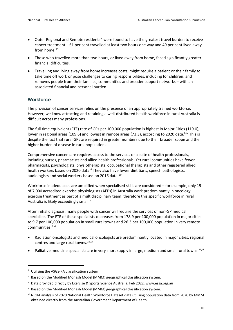- Outer Regional and Remote residents<sup>[iii](#page-9-2)</sup> were found to have the greatest travel burden to receive cancer treatment – 61 per cent travelled at least two hours one way and 49 per cent lived away from home.<sup>[19](#page-16-18)</sup>
- Those who travelled more than two hours, or lived away from home, faced significantly greater financial difficulties.
- Travelling and living away from home increases costs; might require a patient or their family to take time off work or pose challenges to caring responsibilities, including for children; and removes people from their families, communities and broader support networks – with an associated financial and personal burden.

# **Workforce**

The provision of cancer services relies on the presence of an appropriately trained workforce. However, we know attracting and retaining a well-distributed health workforce in rural Australia is difficult across many professions.

The full time equivalent (FTE) rate of GPs per 100,000 population is highest in Major Cities (119.0), lower in regional areas (109.6) and lowest in remote areas (73.3), according to 2020 data.<sup>[6,](#page-6-0)[iv](#page-9-3)</sup> This is despite the fact that rural GPs are required in greater numbers due to their broader scope and the higher burden of disease in rural populations.

Comprehensive cancer care requires access to the services of a suite of health professionals, including nurses, pharmacists and allied health professionals. Yet rural communities have fewer pharmacists, psychologists, physiotherapists, occupational therapists and other registered allied health workers based on 2020 data.<sup>6</sup> They also have fewer dietitians, speech pathologists, audiologists and social workers based on 2016 data.<sup>20</sup>

Workforce inadequacies are amplified when specialised skills are considered – for example, only 19 of 7,000 accredited exercise physiologists (AEPs) in Australia work predominantly in oncology exercise treatment as part of a multidisciplinary team, therefore this specific workforce in rural Australia is likely exceedingly small.<sup>[v](#page-9-4)</sup>

After initial diagnosis, many people with cancer will require the services of non-GP medical specialists. The FTE of these specialists decreases from 178.9 per 100,000 population in major cities to 9.7 per 100,000 population in small rural towns and 26.3 per 100,000 population in very remote communities.<sup>[6,](#page-6-0)[vi](#page-9-5)</sup>

- <span id="page-9-1"></span><span id="page-9-0"></span>• Radiation oncologists and medical oncologists are predominantly located in major cities, regional centres and large rural towns.<sup>[21](#page-17-1),vii</sup>
- Palliative medicine specialists are in very short supply in large, medium and small rural towns.<sup>[21,](#page-9-0) vii</sup>

<span id="page-9-2"></span>iii Utilising the ASGS-RA classification system

<span id="page-9-3"></span>iv Based on the Modified Monash Model (MMM) geographical classification system.

<span id="page-9-4"></span><sup>&</sup>lt;sup>v</sup> Data provided directly by Exercise & Sports Science Australia, Feb 2022. [www.essa.org.au](https://www.essa.org.au/)

<span id="page-9-5"></span>vi Based on the Modified Monash Model (MMM) geographical classification system.

<span id="page-9-6"></span>vii NRHA analysis of 2020 National Health Workforce Dataset data utilising population data from 2020 by MMM obtained directly from the Australian Government Department of Health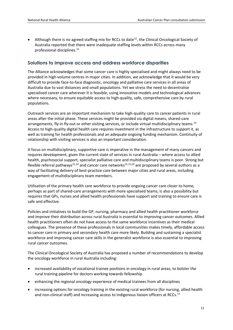<span id="page-10-1"></span>Although there is no agreed staffing mix for RCCs to date<sup>22</sup>, the Clinical Oncological Society of Australia reported that there were inadequate staffing levels within RCCs across many professional disciplines. [15](#page-7-1)

### **Solutions to improve access and address workforce disparities**

The Alliance acknowledges that some cancer care is highly specialised and might always need to be provided in high-volume centres in major cities. In addition, we acknowledge that it would be very difficult to provide face-to-face diagnostic, oncology and palliative care services in all areas of Australia due to vast distances and small populations. Yet we stress the need to decentralise specialised cancer care wherever it is feasible, using innovative models and technological advances where necessary, to ensure equitable access to high-quality, safe, comprehensive care by rural populations.

<span id="page-10-3"></span>Outreach services are an important mechanism to take high-quality care to cancer patients in rural areas after the initial phase. These services might be provided via digital means, shared-care arrangements, fly-in fly-out or other visiting services, or include virtual multidisciplinary teams.<sup>[23](#page-17-3)</sup> Access to high-quality digital health care requires investment in the infrastructure to support it, as well as training for health professionals and an adequate ongoing funding mechanism. Continuity of relationship with visiting services is also an important consideration.

<span id="page-10-2"></span><span id="page-10-0"></span>A focus on multidisciplinary, supportive care is imperative in the management of many cancers and requires development, given the current state of services in rural Australia – where access to allied health, psychosocial support, specialist palliative care and multidisciplinary teams is poor. Strong but flexible referral pathways<sup>15,[24](#page-17-4)</sup> and cancer care networks<sup>15,[25](#page-17-5)[,24](#page-10-0)</sup> are proposed by several authors as a way of facilitating delivery of best-practice care between major cities and rural areas, including engagement of multidisciplinary team members.

Utilisation of the primary health care workforce to provide ongoing cancer care closer to home, perhaps as part of shared-care arrangements with more specialised teams, is also a possibility but requires that GPs, nurses and allied health professionals have support and training to ensure care is safe and effective.

Policies and initiatives to build the GP, nursing, pharmacy and allied health practitioner workforce and improve their distribution across rural Australia is essential to improving cancer outcomes. Allied health practitioners often do not have access to the same workforce incentives as their medical colleagues. The presence of these professionals in local communities makes timely, affordable access to cancer care in primary and secondary health care more likely. Building and sustaining a specialist workforce and improving cancer care skills in the generalist workforce is also essential to improving rural cancer outcomes.

The Clinical Oncological Society of Australia has proposed a number of recommendations to develop the oncology workforce in rural Australia including:

- increased availability of vocational trainee positions in oncology in rural areas, to bolster the rural training pipeline for doctors working towards fellowship
- enhancing the regional oncology experience of medical trainees from all disciplines
- increasing options for oncology training in the existing rural workforce (for nursing, allied health and non-clinical staff) and increasing access to Indigenous liaison officers at RCCs.<sup>15</sup>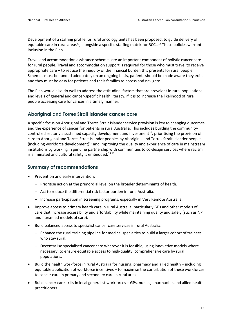Development of a staffing profile for rural oncology units has been proposed, to guide delivery of equitable care in rural areas<sup>22</sup>, alongside a specific staffing matrix for RCCs.<sup>15</sup> These policies warrant inclusion in the Plan.

Travel and accommodation assistance schemes are an important component of holistic cancer care for rural people. Travel and accommodation support is required for those who must travel to receive appropriate care – to reduce the inequity of the financial burden this presents for rural people. Schemes must be funded adequately on an ongoing basis, patients should be made aware they exist and they must be easy for patients and their families to access and navigate.

The Plan would also do well to address the attitudinal factors that are prevalent in rural populations and levels of general and cancer-specific health literacy, if it is to increase the likelihood of rural people accessing care for cancer in a timely manner.

#### **Aboriginal and Torres Strait Islander cancer care**

<span id="page-11-0"></span>A specific focus on Aboriginal and Torres Strait Islander service provision is key to changing outcomes and the experience of cancer for patients in rural Australia. This includes building the communitycontrolled sector via sustained capacity development and investment<sup>26</sup>, prioritising the provision of care to Aboriginal and Torres Strait Islander peoples by Aboriginal and Torres Strait Islander peoples (including workforce development)<sup>15</sup> and improving the quality and experience of care in mainstream institutions by working in genuine partnership with communities to co-design services where racism is eliminated and cultural safety is embedded.<sup>[25,](#page-10-2)[26](#page-11-0)</sup>

#### **Summary of recommendations**

- Prevention and early intervention:
	- Prioritise action at the primordial level on the broader determinants of health.
	- Act to reduce the differential risk factor burden in rural Australia.
	- Increase participation in screening programs, especially in Very Remote Australia.
- Improve access to primary health care in rural Australia, particularly GPs and other models of care that increase accessibility and affordability while maintaining quality and safely (such as NP and nurse-led models of care).
- Build balanced access to specialist cancer care services in rural Australia:
	- Enhance the rural training pipeline for medical specialties to build a larger cohort of trainees who stay rural.
	- Decentralise specialised cancer care wherever it is feasible, using innovative models where necessary, to ensure equitable access to high-quality, comprehensive care by rural populations.
- Build the health workforce in rural Australia for nursing, pharmacy and allied health including equitable application of workforce incentives – to maximise the contribution of these workforces to cancer care in primary and secondary care in rural areas.
- Build cancer care skills in local generalist workforces GPs, nurses, pharmacists and allied health practitioners.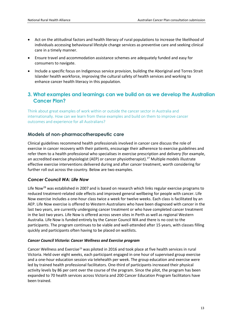- Act on the attitudinal factors and health literacy of rural populations to increase the likelihood of individuals accessing behavioural lifestyle change services as preventive care and seeking clinical care in a timely manner.
- Ensure travel and accommodation assistance schemes are adequately funded and easy for consumers to navigate.
- Include a specific focus on Indigenous service provision, building the Aboriginal and Torres Strait Islander health workforce, improving the cultural safety of health services and working to enhance cancer health literacy in this population.

# **3. What examples and learnings can we build on as we develop the Australian Cancer Plan?**

Think about great examples of work within or outside the cancer sector in Australia and internationally. How can we learn from these examples and build on them to improve cancer outcomes and experience for all Australians?

# **Models of non-pharmacotherapeutic care**

Clinical guidelines recommend health professionals involved in cancer care discuss the role of exercise in cancer recovery with their patients, encourage their adherence to exercise guidelines and refer them to a health professional who specialises in exercise prescription and delivery (for example, an accredited exercise physiologist (AEP) or cancer physiotherapist).<sup>[27](#page-17-7)</sup> Multiple models illustrate effective exercise interventions delivered during and after cancer treatment, worth considering for further roll out across the country. Below are two examples.

# *[Cancer Council WA: Life](https://www.cancerwa.asn.au/articles/news-2018/what-is-life-now/) Now*

Life Now<sup>[28](#page-17-8)</sup> was established in 2007 and is based on research which links regular exercise programs to reduced treatment-related side effects and improved general wellbeing for people with cancer. Life Now exercise includes a one-hour class twice a week for twelve weeks. Each class is facilitated by an AEP. Life Now exercise is offered to Western Australians who have been diagnosed with cancer in the last two years, are currently undergoing cancer treatment or who have completed cancer treatment in the last two years. Life Now is offered across seven sites in Perth as well as regional Western Australia. Life Now is funded entirely by the Cancer Council WA and there is no cost to the participants. The program continues to be viable and well-attended after 15 years, with classes filling quickly and participants often having to be placed on waitlists.

#### *[Cancer Council Victoria: Cancer Wellness and Exercise program](https://www.cancervic.org.au/about/stories/exercise-and-wellness-program.html)*

Cancer Wellness and Exercise<sup>[29](#page-17-9)</sup> was piloted in 2016 and took place at five health services in rural Victoria. Held over eight weeks, each participant engaged in one hour of supervised group exercise and a one-hour education session via telehealth per week. The group education and exercise were led by trained health professional facilitators. One-third of participants increased their physical activity levels by 86 per cent over the course of the program. Since the pilot, the program has been expanded to 70 health services across Victoria and 200 Cancer Education Program facilitators have been trained.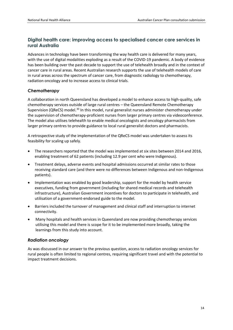# **Digital health care: improving access to specialised cancer care services in rural Australia**

Advances in technology have been transforming the way health care is delivered for many years, with the use of digital modalities exploding as a result of the COVID-19 pandemic. A body of evidence has been building over the past decade to support the use of telehealth broadly and in the context of cancer care in rural areas. Recent Australian research supports the use of telehealth models of care in rural areas across the spectrum of cancer care, from diagnostic radiology to chemotherapy, radiation oncology and to increase access to clinical trials.

# *Chemotherapy*

A collaboration in north Queensland has developed a model to enhance access to high-quality, safe chemotherapy services outside of large rural centres – the Queensland Remote Chemotherapy Supervision (QReCS) model.<sup>[30](#page-17-10)</sup> In this model, rural generalist nurses administer chemotherapy under the supervision of chemotherapy-proficient nurses from larger primary centres via videoconference. The model also utilises telehealth to enable medical oncologists and oncology pharmacists from larger primary centres to provide guidance to local rural generalist doctors and pharmacists.

A retrospective study of the implementation of the QReCS model was undertaken to assess its feasibility for scaling up safely.

- The researchers reported that the model was implemented at six sites between 2014 and 2016, enabling treatment of 62 patients (including 12.9 per cent who were Indigenous).
- Treatment delays, adverse events and hospital admissions occurred at similar rates to those receiving standard care (and there were no differences between Indigenous and non-Indigenous patients).
- Implementation was enabled by good leadership, support for the model by health service executives, funding from government (including for shared medical records and telehealth infrastructure), Australian Government incentives for doctors to participate in telehealth, and utilisation of a government-endorsed guide to the model.
- Barriers included the turnover of management and clinical staff and interruption to internet connectivity.
- Many hospitals and health services in Queensland are now providing chemotherapy services utilising this model and there is scope for it to be implemented more broadly, taking the learnings from this study into account.

#### *Radiation oncology*

As was discussed in our answer to the previous question, access to radiation oncology services for rural people is often limited to regional centres, requiring significant travel and with the potential to impact treatment decisions.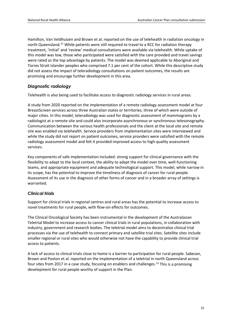Hamilton, Van Veldhuizen and Brown et al. reported on the use of telehealth in radiation oncology in north Queensland.<sup>[31](#page-17-11)</sup> While patients were still required to travel to a RCC for radiation therapy treatment, 'initial' and 'review' medical consultations were available via telehealth. While uptake of this model was low, those who participated were satisfied with the care provided and travel savings were rated as the top advantage by patients. The model was deemed applicable to Aboriginal and Torres Strait Islander peoples who comprised 7.1 per cent of the cohort. While this descriptive study did not assess the impact of teleradiology consultations on patient outcomes, the results are promising and encourage further development in this area.

#### *Diagnostic radiology*

Telehealth is also being used to facilitate access to diagnostic radiology services in rural areas.

A study from 2020 reported on the implementation of a remote radiology assessment model at four BreastScreen services across three Australian states or territories, three of which were outside of major cities. In this model, teleradiology was used for diagnostic assessment of mammograms by a radiologist at a remote site and could also incorporate asynchronous or synchronous telesonography. Communication between the various health professionals and the client at the local site and remote site was enabled via telehealth. Service providers from implementation sites were interviewed and while the study did not report on patient outcomes, service providers were satisfied with the remote radiology assessment model and felt it provided improved access to high-quality assessment services.

Key components of safe implementation included: strong support for clinical governance with the flexibility to adapt to the local context, the ability to adapt the model over time, well-functioning teams, and appropriate equipment and adequate technological support. This model, while narrow in its scope, has the potential to improve the timeliness of diagnosis of cancer for rural people. Assessment of its use in the diagnosis of other forms of cancer and in a broader array of settings is warranted.

#### *Clinical trials*

Support for clinical trials in regional centres and rural areas has the potential to increase access to novel treatments for rural people, with flow-on effects for outcomes.

The Clinical Oncological Society has been instrumental in the development of the Australasian Teletrial Model to increase access to cancer clinical trials in rural populations, in collaboration with industry, government and research bodies. The teletrial model aims to decentralise clinical trial processes via the use of telehealth to connect primary and satellite trial sites. Satellite sites include smaller regional or rural sites who would otherwise not have the capability to provide clinical trial access to patients.

A lack of access to clinical trials close to home is a barrier to participation for rural people. Sabesan, Brown and Poxton et al. reported on the implementation of a teletrial in north Queensland across four sites from 2017 in a case study, focusing on enablers and challenges.<sup>[32](#page-17-12)</sup> This is a promising development for rural people worthy of support in the Plan.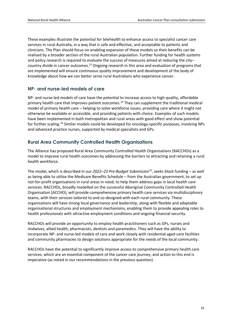These examples illustrate the potential for telehealth to enhance access to specialist cancer care services in rural Australia, in a way that is safe and effective, and acceptable to patients and clinicians. The Plan should focus on enabling expansion of these models so their benefits can be realised by a broader section of the rural Australian population. Further funding for health systems and policy research is required to evaluate the success of measures aimed at reducing the city– country divide in cancer outcomes.<sup>23</sup> Ongoing research in this area and evaluation of programs that are implemented will ensure continuous quality improvement and development of the body of knowledge about how we can better serve rural Australians who experience cancer.

#### **NP- and nurse-led models of care**

NP- and nurse-led models of care have the potential to increase access to high-quality, affordable primary health care that improves patient outcomes. [33](#page-17-13) They can supplement the traditional medical model of primary health care – helping to solve workforce issues, providing care where it might not otherwise be available or accessible, and providing patients with choice. Examples of such models have been implemented in both metropolitan and rural areas with good effect and show potential for further scaling.[34](#page-17-14) Similar models could be developed for oncology-specific purposes, involving NPs and advanced practice nurses, supported by medical specialists and GPs.

# **Rural Area Community Controlled Health Organisations**

The Alliance has proposed Rural Area Community Controlled Health Organisations (RACCHOs) as a model to improve rural health outcomes by addressing the barriers to attracting and retaining a rural health workforce.

The model, which is described in our *2022–23 Pre-Budget Submission*[35](#page-17-15), seeks block funding – as well as being able to utilise the Medicare Benefits Schedule – from the Australian government, to set up not-for-profit organisations in rural areas in need, to help them address gaps in local health care services. RACCHOs, broadly modelled on the successful Aboriginal Community Controlled Health Organisation (ACCHO), will provide comprehensive primary health care services via multidisciplinary teams, with their services tailored to and co-designed with each rural community. These organisations will have strong local governance and leadership, along with flexible and adaptable organisational structures and employment mechanisms, enabling them to provide appealing roles to health professionals with attractive employment conditions and ongoing financial security.

RACCHOs will provide an opportunity to employ health practitioners such as GPs, nurses and midwives, allied health, pharmacists, dentists and paramedics. They will have the ability to incorporate NP- and nurse-led models of care and work closely with residential aged-care facilities and community pharmacies to design solutions appropriate for the needs of the local community.

RACCHOs have the potential to significantly improve access to comprehensive primary health care services, which are an essential component of the cancer care journey, and action to this end is imperative (as noted in our recommendations in the previous question).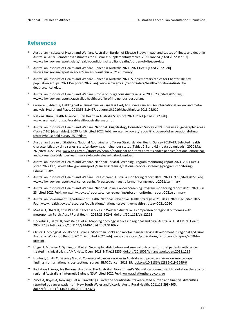# <span id="page-16-0"></span>**References**

- <sup>1</sup> Australian Institute of Health and Welfare. Australian Burden of Disease Study: Impact and causes of illness and death in Australia, 2018. Remoteness estimates for Australia: Supplementary tables. 2021 Nov 24 [cited 2022 Jan 19]. [www.aihw.gov.au/reports-data/health-conditions-disability-deaths/burden-of-disease/data](http://www.aihw.gov.au/reports-data/health-conditions-disability-deaths/burden-of-disease/data)
- <span id="page-16-1"></span>2 Australian Institute of Health and Welfare. Cancer in Australia 2021. 2021 Dec 1 [cited 2022 Feb]. [www.aihw.gov.au/reports/cancer/cancer-in-australia-2021/summary](http://www.aihw.gov.au/reports/cancer/cancer-in-australia-2021/summary)
- <span id="page-16-2"></span>3 Australian Institute of Health and Welfare. Cancer in Australia 2021. Supplementary tables for Chapter 10: Key population groups. 2021 Dec [cited 2022 Jan][. www.aihw.gov.au/reports-data/health-conditions-disability](http://www.aihw.gov.au/reports-data/health-conditions-disability-deaths/cancer/data)[deaths/cancer/data](http://www.aihw.gov.au/reports-data/health-conditions-disability-deaths/cancer/data)
- <span id="page-16-3"></span>4 Australian Institute of Health and Welfare. Profile of Indigenous Australians. 2020 Jul 23 [cited 2022 Jan]. [www.aihw.gov.au/reports/australias-health/profile-of-indigenous-australians](http://www.aihw.gov.au/reports/australias-health/profile-of-indigenous-australians)
- <span id="page-16-4"></span> $5$  Carriere R, Adam R, Fielding S et al. Rural dwellers are less likely to survive cancer – An international review and metaanalysis. Health and Place. 2018;53:219–27[. doi.org/10.1016/j.healthplace.2018.08.010](https://doi.org/10.1016/j.healthplace.2018.08.010)
- <span id="page-16-5"></span>6 National Rural Health Alliance. Rural Health in Australia Snapshot 2021. 2021 [cited 2022 Feb]. [www.ruralhealth.org.au/rural-health-australia-snapshot](https://www.ruralhealth.org.au/rural-health-australia-snapshot)
- <span id="page-16-6"></span>7 Australian Institute of Health and Welfare. National Drug Strategy Household Survey 2019. Drug use in geographic areas (Table 7.16) [data tables]. 2020 Jul 16 [cited 2022 Feb][. www.aihw.gov.au/repo-s/illicit-use-of-drugs/national-drug](http://www.aihw.gov.au/repos/illicit-use-of-drugs/national-drug-strategyhousehold-survey-2019/data)[strategyhousehold-survey-2019/data](http://www.aihw.gov.au/repos/illicit-use-of-drugs/national-drug-strategyhousehold-survey-2019/data)
- <span id="page-16-7"></span>8 Australian Bureau of Statistics. National Aboriginal and Torres Strait Islander Health Survey 2018–19. Selected health characteristics, by time series, state/territory, sex, Indigenous status (Tables 2.3 and 4.3) [data downloads]. 2020 May 26 [cited 2022 Feb]. [www.abs.gov.au/statistics/people/aboriginal-and-torres-straitislander-peoples/national-aboriginal](http://www.abs.gov.au/statistics/people/aboriginal-and-torres-straitislander-peoples/national-aboriginal-and-torres-strait-islanderhealth-survey/latest-release#data-download)[and-torres-strait-islanderhealth-survey/latest-release#data-download](http://www.abs.gov.au/statistics/people/aboriginal-and-torres-straitislander-peoples/national-aboriginal-and-torres-strait-islanderhealth-survey/latest-release#data-download)
- <span id="page-16-8"></span>9 Australian Institute of Health and Welfare. National Cervical Screening Program monitoring report 2021. 2021 Dec 3 [cited 2022 Feb][. www.aihw.gov.au/reports/cancer-screening/national-cervical-screening-program-monitoring](http://www.aihw.gov.au/reports/cancer-screening/national-cervical-screening-program-monitoring-rep/summary)[rep/summary](http://www.aihw.gov.au/reports/cancer-screening/national-cervical-screening-program-monitoring-rep/summary)
- <span id="page-16-9"></span>10 Australian Institute of Health and Welfare. BreastScreen Australia monitoring report 2021. 2021 Oct 1 [cited 2022 Feb]. [www.aihw.gov.au/reports/cancer-screening/breastscreen-australia-monitoring-report-2021/summary](http://www.aihw.gov.au/reports/cancer-screening/breastscreen-australia-monitoring-report-2021/summary)
- <span id="page-16-10"></span>11 Australian Institute of Health and Welfare. National Bowel Cancer Screening Program monitoring report 2021. 2021 Jun 23 [cited 2022 Feb]. [www.aihw.gov.au/reports/cancer-screening/nbcsp-monitoring-report-2021/summary](http://www.aihw.gov.au/reports/cancer-screening/nbcsp-monitoring-report-2021/summary)
- <span id="page-16-11"></span>12 Australian Government Department of Health. National Preventive Health Strategy 2021–2030. 2021 Dec [cited 2022 Feb][. www.health.gov.au/resources/publications/national-preventive-health-strategy-2021-2030](http://www.health.gov.au/resources/publications/national-preventive-health-strategy-2021-2030)
- <span id="page-16-12"></span><sup>13</sup> Martin H, Ohara K, Chin W et al. Cancer services in Western Australia: a comparison of regional outcomes with metropolitan Perth. Aust J Rural Health. 2015;23:302–8. [doi.org/10.1111/ajr.12218](https://doi.org/10.1111/ajr.12218)
- <span id="page-16-13"></span><sup>14</sup> Underhill C, Bartel R, Goldstein D et al. Mapping oncology services in regional and rural Australia. Aust J Rural Health. 2009;17:321–9[. doi.org/10.1111/j.1440-1584.2009.01106.x](https://doi.org/10.1111/j.1440-1584.2009.01106.x)
- <span id="page-16-14"></span>15 Clinical Oncological Society of Australia. More than bricks and mortar: cancer service development in regional and rural Australia. Workshop Report. 2012 Dec [cited 2022 Feb][. www.cosa.org.au/publications/reports-and-papers/2010-to](http://www.cosa.org.au/publications/reports-and-papers/2010-to-present/)[present](http://www.cosa.org.au/publications/reports-and-papers/2010-to-present/)
- <span id="page-16-15"></span><sup>16</sup> Unger J, Moseley A, Symington B et al. Geographic distribution and survival outcomes for rural patients with cancer treated in clinical trials. JAMA Netw Open. 2018:1(4):e181235[. doi.org/10.1001/jamanetworkopen.2018.1235](https://doi.org/10.1001/jamanetworkopen.2018.1235)
- <span id="page-16-16"></span><sup>17</sup> Hunter J, Smith C, Delaney G et al. Coverage of cancer services in Australia and providers' views on service gaps: findings from a national cross-sectional survey. BMC Cancer. 2019;19. doi.org/10.1186/s12885-019-5649-6
- <span id="page-16-17"></span>18 Radiation Therapy for Regional Australia. The Australian Government's \$63 million commitment to radiation therapy for regional Australians [internet]. Sydney, NSW [cited 2022 Feb]. [www.radiationtherapy.org.au](http://www.radiationtherapy.org.au/)
- <span id="page-16-18"></span>19 Zucca A, Boyes A, Newling G et al. Travelling all over the countryside: travel-related burden and financial difficulties reported by cancer patients in New South Wales and Victoria. Aust J Rural Health. 2011;19:298–305. [doi.org/10.1111/j.1440-1584.2011.01232.x](https://doi.org/10.1111/j.1440-1584.2011.01232.x)